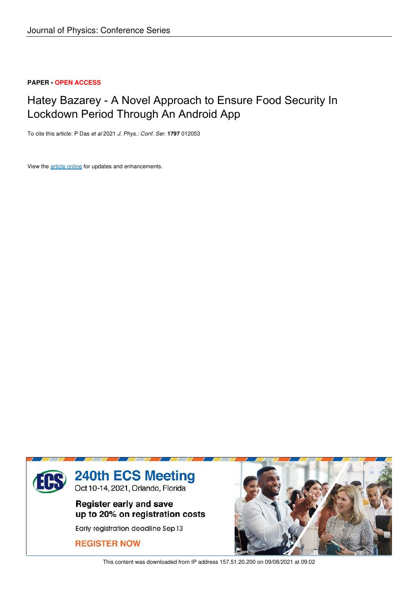## **PAPER • OPEN ACCESS**

# Hatey Bazarey - A Novel Approach to Ensure Food Security In Lockdown Period Through An Android App

To cite this article: P Das *et al* 2021 *J. Phys.: Conf. Ser.* **1797** 012053

View the article online for updates and enhancements.



This content was downloaded from IP address 157.51.20.200 on 09/08/2021 at 09:02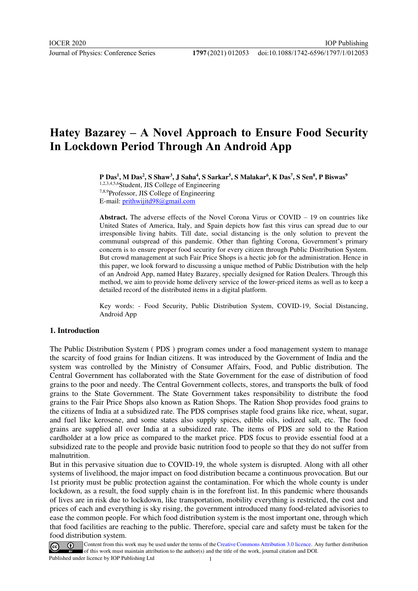# **Hatey Bazarey – A Novel Approach to Ensure Food Security In Lockdown Period Through An Android App**

**P Das<sup>1</sup> , M Das<sup>2</sup> , S Shaw<sup>3</sup> , J Saha<sup>4</sup> , S Sarkar<sup>5</sup> , S Malakar<sup>6</sup> , K Das<sup>7</sup> , S Sen<sup>8</sup> , P Biswas<sup>9</sup>**

1,2,3,4,5,6Student, JIS College of Engineering 7,8,9Professor, JIS College of Engineering E-mail: [prithwijitd98@gmail.com](mailto:prithwijitd98@gmail.com)

**Abstract.** The adverse effects of the Novel Corona Virus or COVID – 19 on countries like United States of America, Italy, and Spain depicts how fast this virus can spread due to our irresponsible living habits. Till date, social distancing is the only solution to prevent the communal outspread of this pandemic. Other than fighting Corona, Government's primary concern is to ensure proper food security for every citizen through Public Distribution System. But crowd management at such Fair Price Shops is a hectic job for the administration. Hence in this paper, we look forward to discussing a unique method of Public Distribution with the help of an Android App, named Hatey Bazarey, specially designed for Ration Dealers. Through this method, we aim to provide home delivery service of the lower-priced items as well as to keep a detailed record of the distributed items in a digital platform.

Key words: - Food Security, Public Distribution System, COVID-19, Social Distancing, Android App

## **1. Introduction**

The Public Distribution System ( PDS ) program comes under a food management system to manage the scarcity of food grains for Indian citizens. It was introduced by the Government of India and the system was controlled by the Ministry of Consumer Affairs, Food, and Public distribution. The Central Government has collaborated with the State Government for the ease of distribution of food grains to the poor and needy. The Central Government collects, stores, and transports the bulk of food grains to the State Government. The State Government takes responsibility to distribute the food grains to the Fair Price Shops also known as Ration Shops. The Ration Shop provides food grains to the citizens of India at a subsidized rate. The PDS comprises staple food grains like rice, wheat, sugar, and fuel like kerosene, and some states also supply spices, edible oils, iodized salt, etc. The food grains are supplied all over India at a subsidized rate. The items of PDS are sold to the Ration cardholder at a low price as compared to the market price. PDS focus to provide essential food at a subsidized rate to the people and provide basic nutrition food to people so that they do not suffer from malnutrition.

But in this pervasive situation due to COVID-19, the whole system is disrupted. Along with all other systems of livelihood, the major impact on food distribution became a continuous provocation. But our 1st priority must be public protection against the contamination. For which the whole county is under lockdown, as a result, the food supply chain is in the forefront list. In this pandemic where thousands of lives are in risk due to lockdown, like transportation, mobility everything is restricted, the cost and prices of each and everything is sky rising, the government introduced many food-related advisories to ease the common people. For which food distribution system is the most important one, through which that food facilities are reaching to the public. Therefore, special care and safety must be taken for the food distribution system.

Content from this work may be used under the terms of the Creative Commons Attribution 3.0 licence. Any further distribution of this work must maintain attribution to the author(s) and the title of the work, journal citation and DOI.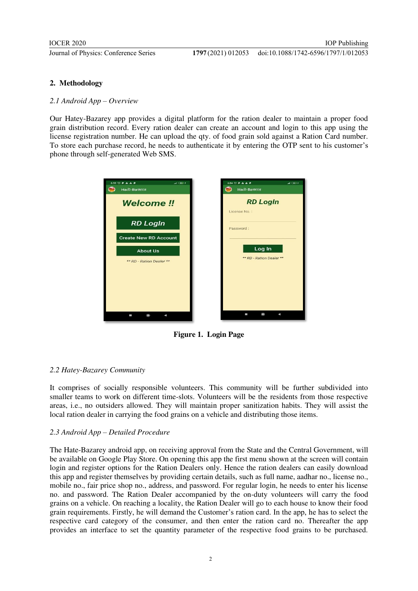## **2. Methodology**

#### *2.1 Android App – Overview*

Our Hatey-Bazarey app provides a digital platform for the ration dealer to maintain a proper food grain distribution record. Every ration dealer can create an account and login to this app using the license registration number. He can upload the qty. of food grain sold against a Ration Card number. To store each purchase record, he needs to authenticate it by entering the OTP sent to his customer's phone through self-generated Web SMS.



**Figure 1. Login Page**

## *2.2 Hatey-Bazarey Community*

It comprises of socially responsible volunteers. This community will be further subdivided into smaller teams to work on different time-slots. Volunteers will be the residents from those respective areas, i.e., no outsiders allowed. They will maintain proper sanitization habits. They will assist the local ration dealer in carrying the food grains on a vehicle and distributing those items.

## *2.3 Android App – Detailed Procedure*

The Hate-Bazarey android app, on receiving approval from the State and the Central Government, will be available on Google Play Store. On opening this app the first menu shown at the screen will contain login and register options for the Ration Dealers only. Hence the ration dealers can easily download this app and register themselves by providing certain details, such as full name, aadhar no., license no., mobile no., fair price shop no., address, and password. For regular login, he needs to enter his license no. and password. The Ration Dealer accompanied by the on-duty volunteers will carry the food grains on a vehicle. On reaching a locality, the Ration Dealer will go to each house to know their food grain requirements. Firstly, he will demand the Customer's ration card. In the app, he has to select the respective card category of the consumer, and then enter the ration card no. Thereafter the app provides an interface to set the quantity parameter of the respective food grains to be purchased.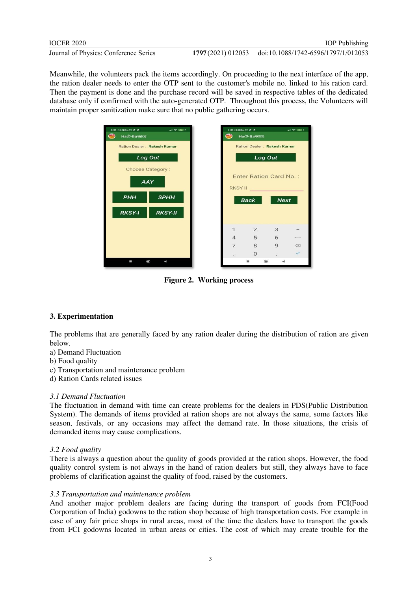Meanwhile, the volunteers pack the items accordingly. On proceeding to the next interface of the app, the ration dealer needs to enter the OTP sent to the customer's mobile no. linked to his ration card. Then the payment is done and the purchase record will be saved in respective tables of the dedicated database only if confirmed with the auto-generated OTP. Throughout this process, the Volunteers will maintain proper sanitization make sure that no public gathering occurs.



**Figure 2. Working process**

# **3. Experimentation**

The problems that are generally faced by any ration dealer during the distribution of ration are given below.

- a) Demand Fluctuation
- b) Food quality
- c) Transportation and maintenance problem
- d) Ration Cards related issues

## *3.1 Demand Fluctuation*

The fluctuation in demand with time can create problems for the dealers in PDS(Public Distribution System). The demands of items provided at ration shops are not always the same, some factors like season, festivals, or any occasions may affect the demand rate. In those situations, the crisis of demanded items may cause complications.

## *3.2 Food quality*

There is always a question about the quality of goods provided at the ration shops. However, the food quality control system is not always in the hand of ration dealers but still, they always have to face problems of clarification against the quality of food, raised by the customers.

## *3.3 Transportation and maintenance problem*

And another major problem dealers are facing during the transport of goods from FCI(Food Corporation of India) godowns to the ration shop because of high transportation costs. For example in case of any fair price shops in rural areas, most of the time the dealers have to transport the goods from FCI godowns located in urban areas or cities. The cost of which may create trouble for the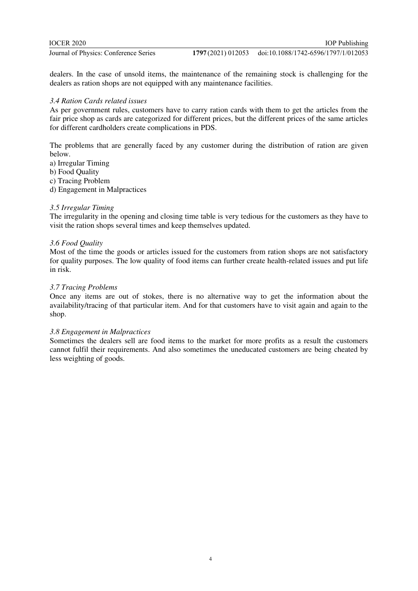doi:10.1088/1742-6596/1797/1/012053

dealers. In the case of unsold items, the maintenance of the remaining stock is challenging for the dealers as ration shops are not equipped with any maintenance facilities.

#### *3.4 Ration Cards related issues*

As per government rules, customers have to carry ration cards with them to get the articles from the fair price shop as cards are categorized for different prices, but the different prices of the same articles for different cardholders create complications in PDS.

The problems that are generally faced by any customer during the distribution of ration are given below.

a) Irregular Timing

b) Food Quality

c) Tracing Problem

d) Engagement in Malpractices

#### *3.5 Irregular Timing*

The irregularity in the opening and closing time table is very tedious for the customers as they have to visit the ration shops several times and keep themselves updated.

## *3.6 Food Quality*

Most of the time the goods or articles issued for the customers from ration shops are not satisfactory for quality purposes. The low quality of food items can further create health-related issues and put life in risk.

## *3.7 Tracing Problems*

Once any items are out of stokes, there is no alternative way to get the information about the availability/tracing of that particular item. And for that customers have to visit again and again to the shop.

#### *3.8 Engagement in Malpractices*

Sometimes the dealers sell are food items to the market for more profits as a result the customers cannot fulfil their requirements. And also sometimes the uneducated customers are being cheated by less weighting of goods.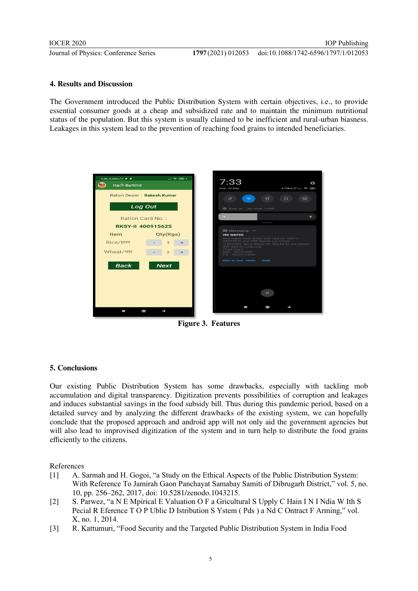## **4. Results and Discussion**

The Government introduced the Public Distribution System with certain objectives, i.e., to provide essential consumer goods at a cheap and subsidized rate and to maintain the minimum nutritional status of the population. But this system is usually claimed to be inefficient and rural-urban biasness. Leakages in this system lead to the prevention of reaching food grains to intended beneficiaries.



**Figure 3. Features**

## **5. Conclusions**

Our existing Public Distribution System has some drawbacks, especially with tackling mob accumulation and digital transparency. Digitization prevents possibilities of corruption and leakages and induces substantial savings in the food subsidy bill. Thus during this pandemic period, based on a detailed survey and by analyzing the different drawbacks of the existing system, we can hopefully conclude that the proposed approach and android app will not only aid the government agencies but will also lead to improvised digitization of the system and in turn help to distribute the food grains efficiently to the citizens.

References

- [1] A. Sarmah and H. Gogoi, "a Study on the Ethical Aspects of the Public Distribution System: With Reference To Jamirah Gaon Panchayat Samabay Samiti of Dibrugarh District," vol. 5, no. 10, pp. 256–262, 2017, doi: 10.5281/zenodo.1043215.
- [2] S. Parwez, "a N E Mpirical E Valuation O F a Gricultural S Upply C Hain I N I Ndia W Ith S Pecial R Eference T O P Ublic D Istribution S Ystem ( Pds ) a Nd C Ontract F Arming," vol. X, no. 1, 2014.
- [3] R. Kattumuri, "Food Security and the Targeted Public Distribution System in India Food